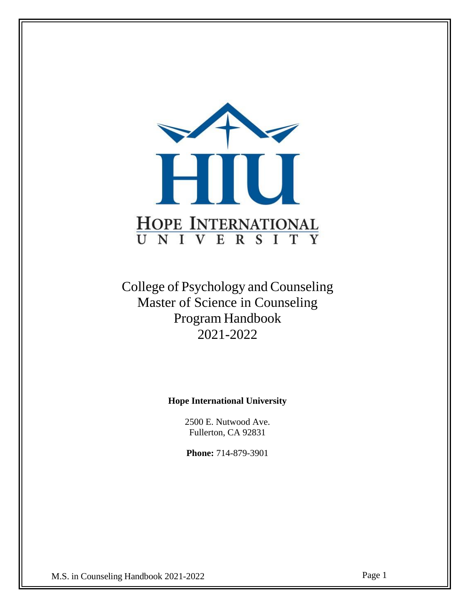

College of Psychology and Counseling Master of Science in Counseling Program Handbook 2021-2022

**Hope International University**

2500 E. Nutwood Ave. Fullerton, CA 92831

**Phone:** 714-879-3901

M.S. in Counseling Handbook 2021-2022 Page 1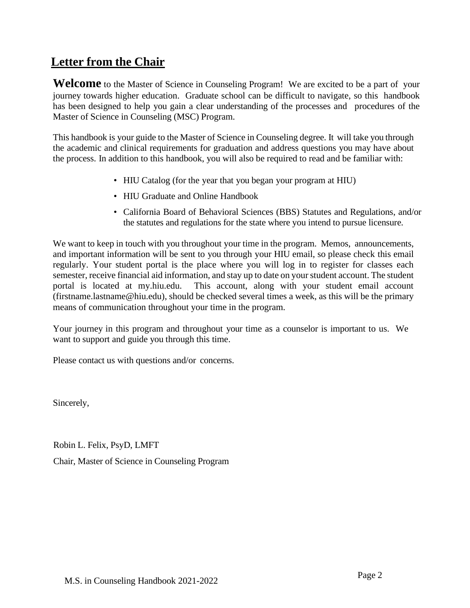## <span id="page-1-1"></span><span id="page-1-0"></span>**[Letter](#page-1-0) from the Chair**

Welcome to the Master of Science in Counseling Program! We are excited to be a part of your journey towards higher education. Graduate school can be difficult to navigate, so this handbook has been designed to help you gain a clear understanding of the processes and procedures of the Master of Science in Counseling (MSC) Program.

This handbook is your guide to the Master of Science in Counseling degree. It will take you through the academic and clinical requirements for graduation and address questions you may have about the process. In addition to this handbook, you will also be required to read and be familiar with:

- HIU Catalog (for the year that you began your program at HIU)
- HIU Graduate and Online Handbook
- California Board of Behavioral Sciences (BBS) Statutes and Regulations, and/or the statutes and regulations for the state where you intend to pursue licensure.

We want to keep in touch with you throughout your time in the program. Memos, announcements, and important information will be sent to you through your HIU email, so please check this email regularly. Your student portal is the place where you will log in to register for classes each semester, receive financial aid information, and stay up to date on your student account. The student portal is located at [my.hiu.edu.](https://my.hiu.edu/secure/Student/loginstu.aspx) This account, along with your student email account [\(firstname.lastname@hiu.edu\)](mailto:firstname.lastname@hiu.edu), should be checked several times a week, as this will be the primary means of communication throughout your time in the program.

Your journey in this program and throughout your time as a counselor is important to us. We want to support and guide you through this time.

Please contact us with questions and/or concerns.

Sincerely,

Robin L. Felix, PsyD, LMFT

Chair, Master of Science in Counseling Program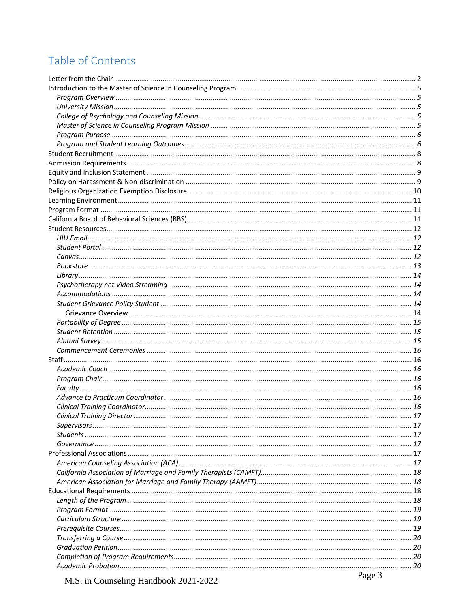# Table of Contents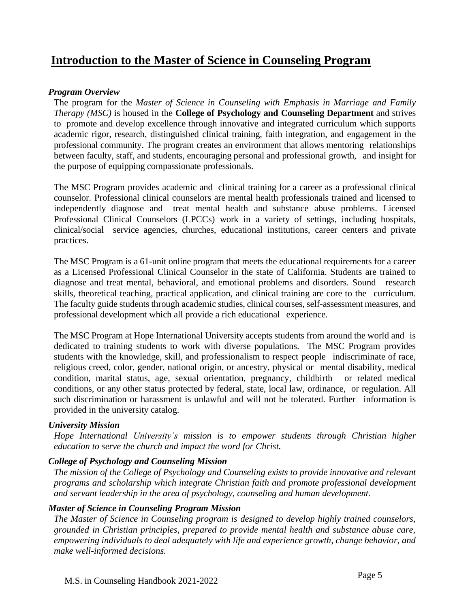## <span id="page-4-0"></span>**Introduction to the Master of Science in Counseling Program**

### <span id="page-4-1"></span>*Program Overview*

The program for the *Master of Science in Counseling with Emphasis in Marriage and Family Therapy (MSC)* is housed in the **College of Psychology and Counseling Department** and strives to promote and develop excellence through innovative and integrated curriculum which supports academic rigor, research, distinguished clinical training, faith integration, and engagement in the professional community. The program creates an environment that allows mentoring relationships between faculty, staff, and students, encouraging personal and professional growth, and insight for the purpose of equipping compassionate professionals.

The MSC Program provides academic and clinical training for a career as a professional clinical counselor. Professional clinical counselors are mental health professionals trained and licensed to independently diagnose and treat mental health and substance abuse problems. Licensed Professional Clinical Counselors (LPCCs) work in a variety of settings, including hospitals, clinical/social service agencies, churches, educational institutions, career centers and private practices.

The MSC Program is a 61-unit online program that meets the educational requirements for a career as a Licensed Professional Clinical Counselor in the state of California. Students are trained to diagnose and treat mental, behavioral, and emotional problems and disorders. Sound research skills, theoretical teaching, practical application, and clinical training are core to the curriculum. The faculty guide students through academic studies, clinical courses, self-assessment measures, and professional development which all provide a rich educational experience.

The MSC Program at Hope International University accepts students from around the world and is dedicated to training students to work with diverse populations. The MSC Program provides students with the knowledge, skill, and professionalism to respect people indiscriminate of race, religious creed, color, gender, national origin, or ancestry, physical or mental disability, medical condition, marital status, age, sexual orientation, pregnancy, childbirth or related medical conditions, or any other status protected by federal, state, local law, ordinance, or regulation. All such discrimination or harassment is unlawful and will not be tolerated. Further information is provided in the university catalog.

#### <span id="page-4-2"></span>*University Mission*

*Hope International University's mission is to empower students through Christian higher education to serve the church and impact the word for Christ.*

#### <span id="page-4-3"></span>*College of Psychology and Counseling Mission*

*The mission of the College of Psychology and Counseling exists to provide innovative and relevant programs and scholarship which integrate Christian faith and promote professional development and servant leadership in the area of psychology, counseling and human development.*

#### <span id="page-4-4"></span>*Master of Science in Counseling Program Mission*

*The Master of Science in Counseling program is designed to develop highly trained counselors, grounded in Christian principles, prepared to provide mental health and substance abuse care, empowering individuals to deal adequately with life and experience growth, change behavior, and make well-informed decisions.*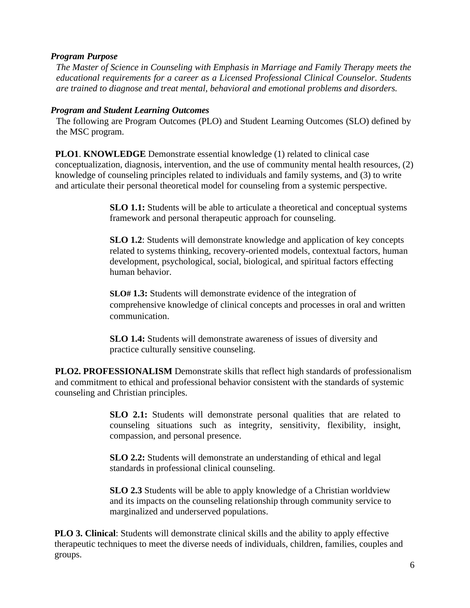#### <span id="page-5-0"></span>*Program Purpose*

*The Master of Science in Counseling with Emphasis in Marriage and Family Therapy meets the educational requirements for a career as a Licensed Professional Clinical Counselor. Students are trained to diagnose and treat mental, behavioral and emotional problems and disorders.*

### <span id="page-5-1"></span>*Program and Student Learning Outcomes*

The following are Program Outcomes (PLO) and Student Learning Outcomes (SLO) defined by the MSC program.

**PLO1**. **KNOWLEDGE** Demonstrate essential knowledge (1) related to clinical case conceptualization, diagnosis, intervention, and the use of community mental health resources, (2) knowledge of counseling principles related to individuals and family systems, and (3) to write and articulate their personal theoretical model for counseling from a systemic perspective.

> **SLO 1.1:** Students will be able to articulate a theoretical and conceptual systems framework and personal therapeutic approach for counseling.

> **SLO 1.2**: Students will demonstrate knowledge and application of key concepts related to systems thinking, recovery-oriented models, contextual factors, human development, psychological, social, biological, and spiritual factors effecting human behavior.

> **SLO# 1.3:** Students will demonstrate evidence of the integration of comprehensive knowledge of clinical concepts and processes in oral and written communication.

**SLO 1.4:** Students will demonstrate awareness of issues of diversity and practice culturally sensitive counseling.

**PLO2. PROFESSIONALISM** Demonstrate skills that reflect high standards of professionalism and commitment to ethical and professional behavior consistent with the standards of systemic counseling and Christian principles.

> **SLO 2.1:** Students will demonstrate personal qualities that are related to counseling situations such as integrity, sensitivity, flexibility, insight, compassion, and personal presence.

**SLO 2.2:** Students will demonstrate an understanding of ethical and legal standards in professional clinical counseling.

**SLO 2.3** Students will be able to apply knowledge of a Christian worldview and its impacts on the counseling relationship through community service to marginalized and underserved populations.

**PLO 3. Clinical**: Students will demonstrate clinical skills and the ability to apply effective therapeutic techniques to meet the diverse needs of individuals, children, families, couples and groups.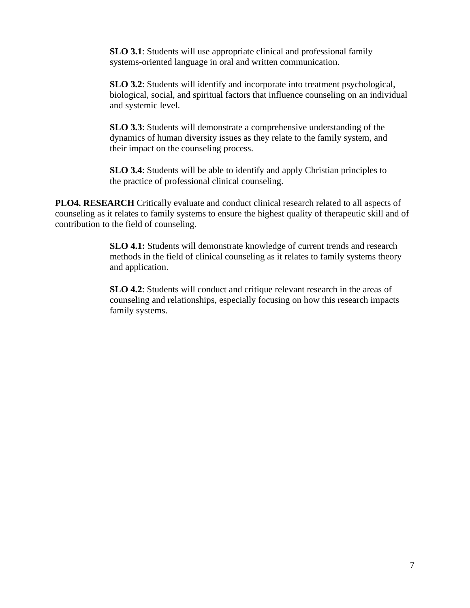**SLO 3.1**: Students will use appropriate clinical and professional family systems-oriented language in oral and written communication.

**SLO 3.2**: Students will identify and incorporate into treatment psychological, biological, social, and spiritual factors that influence counseling on an individual and systemic level.

**SLO 3.3**: Students will demonstrate a comprehensive understanding of the dynamics of human diversity issues as they relate to the family system, and their impact on the counseling process.

**SLO 3.4**: Students will be able to identify and apply Christian principles to the practice of professional clinical counseling.

**PLO4. RESEARCH** Critically evaluate and conduct clinical research related to all aspects of counseling as it relates to family systems to ensure the highest quality of therapeutic skill and of contribution to the field of counseling.

> **SLO 4.1:** Students will demonstrate knowledge of current trends and research methods in the field of clinical counseling as it relates to family systems theory and application.

> **SLO 4.2**: Students will conduct and critique relevant research in the areas of counseling and relationships, especially focusing on how this research impacts family systems.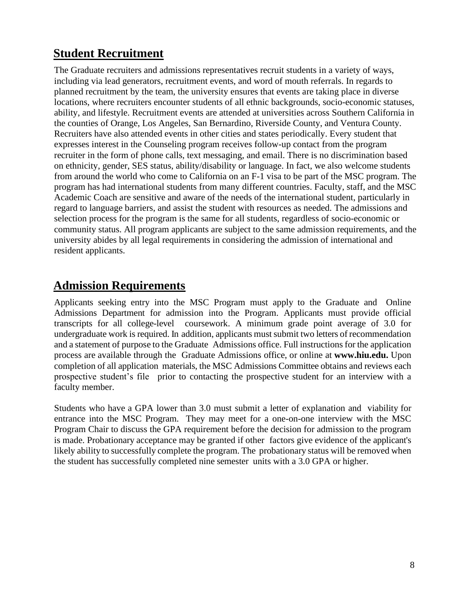# <span id="page-7-0"></span>**Student Recruitment**

The Graduate recruiters and admissions representatives recruit students in a variety of ways, including via lead generators, recruitment events, and word of mouth referrals. In regards to planned recruitment by the team, the university ensures that events are taking place in diverse locations, where recruiters encounter students of all ethnic backgrounds, socio-economic statuses, ability, and lifestyle. Recruitment events are attended at universities across Southern California in the counties of Orange, Los Angeles, San Bernardino, Riverside County, and Ventura County. Recruiters have also attended events in other cities and states periodically. Every student that expresses interest in the Counseling program receives follow-up contact from the program recruiter in the form of phone calls, text messaging, and email. There is no discrimination based on ethnicity, gender, SES status, ability/disability or language. In fact, we also welcome students from around the world who come to California on an F-1 visa to be part of the MSC program. The program has had international students from many different countries. Faculty, staff, and the MSC Academic Coach are sensitive and aware of the needs of the international student, particularly in regard to language barriers, and assist the student with resources as needed. The admissions and selection process for the program is the same for all students, regardless of socio-economic or community status. All program applicants are subject to the same admission requirements, and the university abides by all legal requirements in considering the admission of international and resident applicants.

## <span id="page-7-1"></span>**Admission Requirements**

Applicants seeking entry into the MSC Program must apply to the Graduate and Online Admissions Department for admission into the Program. Applicants must provide official transcripts for all college-level coursework. A minimum grade point average of 3.0 for undergraduate work is required. In addition, applicants must submit two letters of recommendation and a statement of purpose to the Graduate Admissions office. Full instructions for the application process are available through the Graduate Admissions office, or online at **[www.hiu.edu.](http://www.hiu.edu./)** Upon completion of all application materials, the MSC Admissions Committee obtains and reviews each prospective student's file prior to contacting the prospective student for an interview with a faculty member.

Students who have a GPA lower than 3.0 must submit a letter of explanation and viability for entrance into the MSC Program. They may meet for a one-on-one interview with the MSC Program Chair to discuss the GPA requirement before the decision for admission to the program is made. Probationary acceptance may be granted if other factors give evidence of the applicant's likely ability to successfully complete the program. The probationary status will be removed when the student has successfully completed nine semester units with a 3.0 GPA or higher.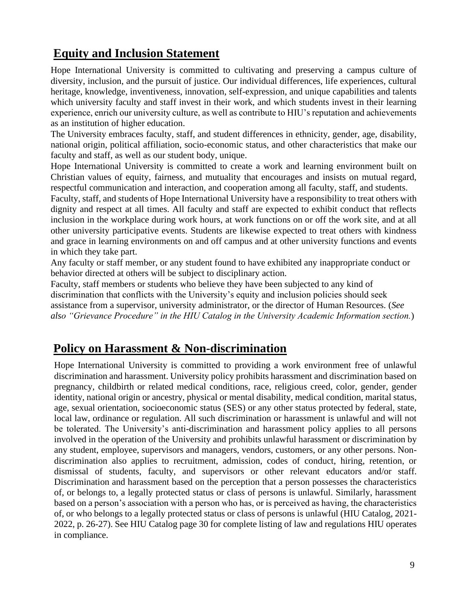# <span id="page-8-0"></span>**Equity and Inclusion Statement**

Hope International University is committed to cultivating and preserving a campus culture of diversity, inclusion, and the pursuit of justice. Our individual differences, life experiences, cultural heritage, knowledge, inventiveness, innovation, self-expression, and unique capabilities and talents which university faculty and staff invest in their work, and which students invest in their learning experience, enrich our university culture, as well as contribute to HIU's reputation and achievements as an institution of higher education.

The University embraces faculty, staff, and student differences in ethnicity, gender, age, disability, national origin, political affiliation, socio-economic status, and other characteristics that make our faculty and staff, as well as our student body, unique.

Hope International University is committed to create a work and learning environment built on Christian values of equity, fairness, and mutuality that encourages and insists on mutual regard, respectful communication and interaction, and cooperation among all faculty, staff, and students.

Faculty, staff, and students of Hope International University have a responsibility to treat others with dignity and respect at all times. All faculty and staff are expected to exhibit conduct that reflects inclusion in the workplace during work hours, at work functions on or off the work site, and at all other university participative events. Students are likewise expected to treat others with kindness and grace in learning environments on and off campus and at other university functions and events in which they take part.

Any faculty or staff member, or any student found to have exhibited any inappropriate conduct or behavior directed at others will be subject to disciplinary action.

Faculty, staff members or students who believe they have been subjected to any kind of discrimination that conflicts with the University's equity and inclusion policies should seek assistance from a supervisor, university administrator, or the director of Human Resources. (*See also "Grievance Procedure" in the HIU Catalog in the University Academic Information section.*)

# <span id="page-8-1"></span>**Policy on Harassment & Non-discrimination**

Hope International University is committed to providing a work environment free of unlawful discrimination and harassment. University policy prohibits harassment and discrimination based on pregnancy, childbirth or related medical conditions, race, religious creed, color, gender, gender identity, national origin or ancestry, physical or mental disability, medical condition, marital status, age, sexual orientation, socioeconomic status (SES) or any other status protected by federal, state, local law, ordinance or regulation. All such discrimination or harassment is unlawful and will not be tolerated. The University's anti-discrimination and harassment policy applies to all persons involved in the operation of the University and prohibits unlawful harassment or discrimination by any student, employee, supervisors and managers, vendors, customers, or any other persons. Nondiscrimination also applies to recruitment, admission, codes of conduct, hiring, retention, or dismissal of students, faculty, and supervisors or other relevant educators and/or staff. Discrimination and harassment based on the perception that a person possesses the characteristics of, or belongs to, a legally protected status or class of persons is unlawful. Similarly, harassment based on a person's association with a person who has, or is perceived as having, the characteristics of, or who belongs to a legally protected status or class of persons is unlawful (HIU Catalog, 2021- 2022, p. 26-27). See HIU Catalog page 30 for complete listing of law and regulations HIU operates in compliance.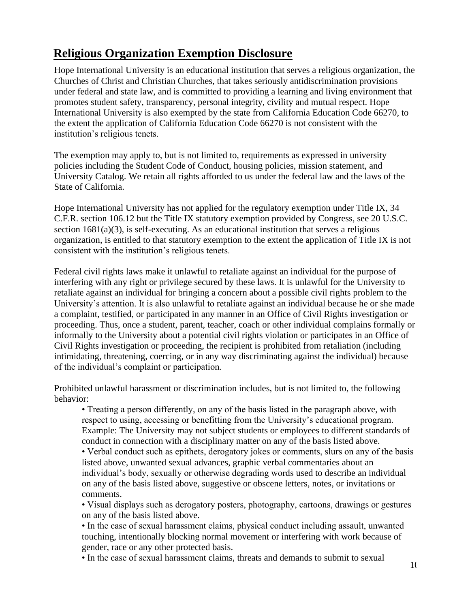# <span id="page-9-0"></span>**Religious Organization Exemption Disclosure**

Hope International University is an educational institution that serves a religious organization, the Churches of Christ and Christian Churches, that takes seriously antidiscrimination provisions under federal and state law, and is committed to providing a learning and living environment that promotes student safety, transparency, personal integrity, civility and mutual respect. Hope International University is also exempted by the state from California Education Code 66270, to the extent the application of California Education Code 66270 is not consistent with the institution's religious tenets.

The exemption may apply to, but is not limited to, requirements as expressed in university policies including the Student Code of Conduct, housing policies, mission statement, and University Catalog. We retain all rights afforded to us under the federal law and the laws of the State of California.

Hope International University has not applied for the regulatory exemption under Title IX, 34 C.F.R. section 106.12 but the Title IX statutory exemption provided by Congress, see 20 U.S.C. section 1681(a)(3), is self-executing. As an educational institution that serves a religious organization, is entitled to that statutory exemption to the extent the application of Title IX is not consistent with the institution's religious tenets.

Federal civil rights laws make it unlawful to retaliate against an individual for the purpose of interfering with any right or privilege secured by these laws. It is unlawful for the University to retaliate against an individual for bringing a concern about a possible civil rights problem to the University's attention. It is also unlawful to retaliate against an individual because he or she made a complaint, testified, or participated in any manner in an Office of Civil Rights investigation or proceeding. Thus, once a student, parent, teacher, coach or other individual complains formally or informally to the University about a potential civil rights violation or participates in an Office of Civil Rights investigation or proceeding, the recipient is prohibited from retaliation (including intimidating, threatening, coercing, or in any way discriminating against the individual) because of the individual's complaint or participation.

Prohibited unlawful harassment or discrimination includes, but is not limited to, the following behavior:

• Treating a person differently, on any of the basis listed in the paragraph above, with respect to using, accessing or benefitting from the University's educational program. Example: The University may not subject students or employees to different standards of conduct in connection with a disciplinary matter on any of the basis listed above.

• Verbal conduct such as epithets, derogatory jokes or comments, slurs on any of the basis listed above, unwanted sexual advances, graphic verbal commentaries about an individual's body, sexually or otherwise degrading words used to describe an individual on any of the basis listed above, suggestive or obscene letters, notes, or invitations or comments.

• Visual displays such as derogatory posters, photography, cartoons, drawings or gestures on any of the basis listed above.

• In the case of sexual harassment claims, physical conduct including assault, unwanted touching, intentionally blocking normal movement or interfering with work because of gender, race or any other protected basis.

• In the case of sexual harassment claims, threats and demands to submit to sexual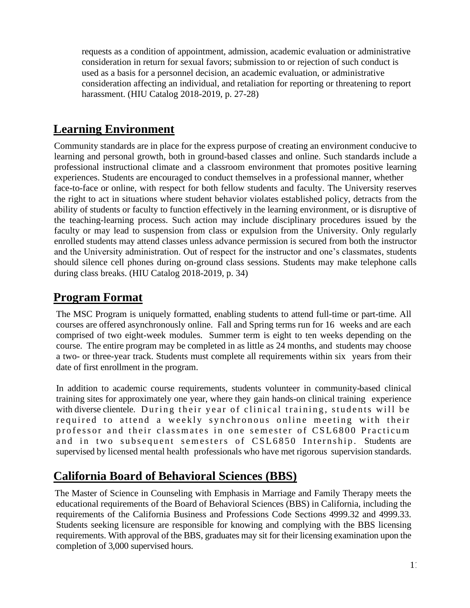requests as a condition of appointment, admission, academic evaluation or administrative consideration in return for sexual favors; submission to or rejection of such conduct is used as a basis for a personnel decision, an academic evaluation, or administrative consideration affecting an individual, and retaliation for reporting or threatening to report harassment. (HIU Catalog 2018-2019, p. 27-28)

## <span id="page-10-0"></span>**Learning Environment**

Community standards are in place for the express purpose of creating an environment conducive to learning and personal growth, both in ground-based classes and online. Such standards include a professional instructional climate and a classroom environment that promotes positive learning experiences. Students are encouraged to conduct themselves in a professional manner, whether face-to-face or online, with respect for both fellow students and faculty. The University reserves the right to act in situations where student behavior violates established policy, detracts from the ability of students or faculty to function effectively in the learning environment, or is disruptive of the teaching-learning process. Such action may include disciplinary procedures issued by the faculty or may lead to suspension from class or expulsion from the University. Only regularly enrolled students may attend classes unless advance permission is secured from both the instructor and the University administration. Out of respect for the instructor and one's classmates, students should silence cell phones during on-ground class sessions. Students may make telephone calls during class breaks. (HIU Catalog 2018-2019, p. 34)

## <span id="page-10-1"></span>**Program Format**

The MSC Program is uniquely formatted, enabling students to attend full-time or part-time. All courses are offered asynchronously online. Fall and Spring terms run for 16 weeks and are each comprised of two eight-week modules. Summer term is eight to ten weeks depending on the course. The entire program may be completed in as little as 24 months, and students may choose a two- or three-year track. Students must complete all requirements within six years from their date of first enrollment in the program.

In addition to academic course requirements, students volunteer in community-based clinical training sites for approximately one year, where they gain hands-on clinical training experience with diverse clientele. During their year of clinical training, students will be required to attend a weekly synchronous online meeting with their professor and their classmates in one semester of CSL6800 Practicum and in two subsequent semesters of CSL6850 Internship. Students are supervised by licensed mental health professionals who have met rigorous supervision standards.

# <span id="page-10-2"></span>**California Board of Behavioral Sciences (BBS)**

The Master of Science in Counseling with Emphasis in Marriage and Family Therapy meets the educational requirements of the Board of Behavioral Sciences (BBS) in California, including the requirements of the California Business and Professions Code Sections 4999.32 and 4999.33. Students seeking licensure are responsible for knowing and complying with the BBS licensing requirements. With approval of the BBS, graduates may sit for their licensing examination upon the completion of 3,000 supervised hours.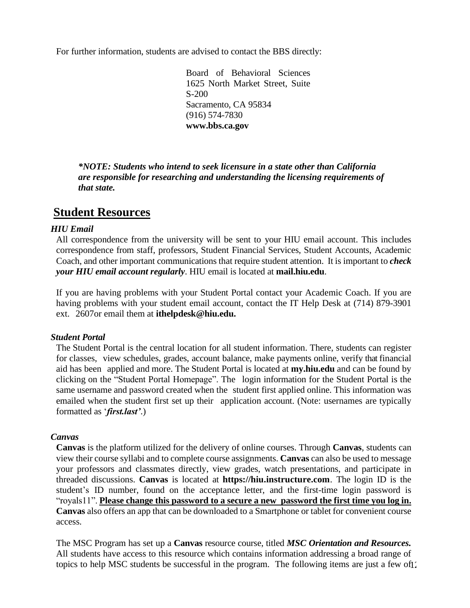For further information, students are advised to contact the BBS directly:

Board of Behavioral Sciences 1625 North Market Street, Suite S-200 Sacramento, CA 95834 (916) 574-7830 **[www.bbs.ca.gov](http://www.bbs.ca.gov/)**

*\*NOTE: Students who intend to seek licensure in a state other than California are responsible for researching and understanding the licensing requirements of that state.*

## <span id="page-11-0"></span>**Student Resources**

#### <span id="page-11-1"></span>*HIU Email*

All correspondence from the university will be sent to your HIU email account. This includes correspondence from staff, professors, Student Financial Services, Student Accounts, Academic Coach, and other important communications that require student attention. It is important to *check your HIU email account regularly*. HIU email is located at **[mail.hiu.edu](http://mail.hiu.edu/)**.

If you are having problems with your Student Portal contact your Academic Coach. If you are having problems with your student email account, contact the IT Help Desk at (714) 879-3901 ext. 2607or email them at **[ithelpdesk@hiu.edu.](mailto:ithelpdesk@hiu.edu.)**

#### <span id="page-11-2"></span>*Student Portal*

The Student Portal is the central location for all student information. There, students can register for classes, view schedules, grades, account balance, make payments online, verify that financial aid has been applied and more. The Student Portal is located at **[my.hiu.edu](http://my.hiu.edu/)** and can be found by clicking on the "Student Portal Homepage". The login information for the Student Portal is the same username and password created when the student first applied online. This information was emailed when the student first set up their application account. (Note: usernames are typically formatted as '*first.last'*.)

#### <span id="page-11-3"></span>*Canvas*

**Canvas** is the platform utilized for the delivery of online courses. Through **Canvas**, students can view their course syllabi and to complete course assignments. **Canvas** can also be used to message your professors and classmates directly, view grades, watch presentations, and participate in threaded discussions. **Canvas** is located at **[https://hiu.instructure.com](https://hiu.instructure.com/)**. The login ID is the student's ID number, found on the acceptance letter, and the first-time login password is "royals11". **Please change this password to a secure a new password the first time you log in. Canvas** also offers an app that can be downloaded to a Smartphone or tablet for convenient course access.

topics to help MSC students be successful in the program. The following items are just a few of  $\gamma$ The MSC Program has set up a **Canvas** resource course, titled *MSC Orientation and Resources.* All students have access to this resource which contains information addressing a broad range of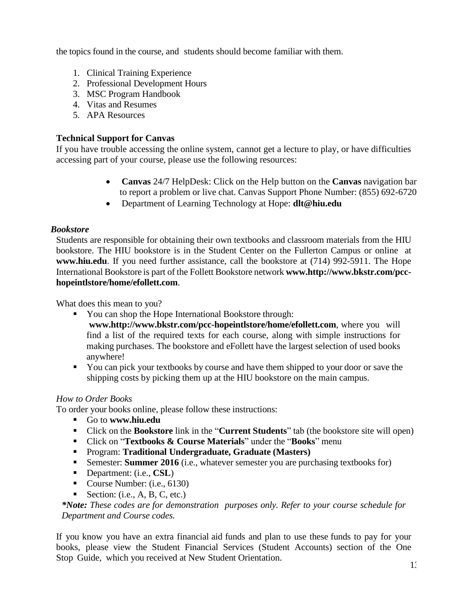the topics found in the course, and students should become familiar with them.

- 1. Clinical Training Experience
- 2. Professional Development Hours
- 3. MSC Program Handbook
- 4. Vitas and Resumes
- 5. APA Resources

## **Technical Support for Canvas**

If you have trouble accessing the online system, cannot get a lecture to play, or have difficulties accessing part of your course, please use the following resources:

- **Canvas** 24/7 HelpDesk: Click on the Help button on the **Canvas** navigation bar to report a problem or live chat. Canvas Support Phone Number: (855) 692-6720
- Department of Learning Technology at Hope: **[dlt@hiu.edu](https://exchange-01.hiu.edu/owa/redir.aspx?C=7VMjgoMMfCHUFHVDsvhmAHOJ4Dk1DBsU0UW6GshJ2-jncDw8qrzUCA..&URL=mailto%3adlt%40hiu.edu)**

## <span id="page-12-0"></span>*Bookstore*

Students are responsible for obtaining their own textbooks and classroom materials from the HIU bookstore. The HIU bookstore is in the Student Center on the Fullerton Campus or online at **[www.hiu.edu](http://www.hiu.edu/)**. If you need further assistance, call the bookstore at (714) 992-5911. The Hope International Bookstore is part of the Follett Bookstore network **ww[w.http://www.bkstr.com/pcc](http://www.bkstr.com/pcc-hopeintlstore/home)[hopeintlstore/home/e](http://www.bkstr.com/pcc-hopeintlstore/home)follett.com**.

What does this mean to you?

You can shop the Hope International Bookstore through: **ww[w.http://www.bkstr.com/pcc-h](http://www.bkstr.com/pcc-hopeintlstore/home)opeintlstore/home/efollett.com**, where you will find a list of the required texts for each course, along with simple instructions for

making purchases. The bookstore and eFollett have the largest selection of used books anywhere!

■ You can pick your textbooks by course and have them shipped to your door or save the shipping costs by picking them up at the HIU bookstore on the main campus.

## *How to Order Books*

To order your books online, please follow these instructions:

- Go to **[www.hiu.edu](http://www.hiu.edu/)**
- Click on the **Bookstore** link in the "**Current Students**" tab (the bookstore site will open)
- Click on "**Textbooks & Course Materials**" under the "**Books**" menu
- Program: **Traditional Undergraduate, Graduate (Masters)**
- **EXECUTE:** Summer 2016 (i.e., whatever semester you are purchasing textbooks for)
- Department: (i.e., **CSL**)
- Course Number: (i.e., 6130)
- $\blacksquare$  Section: (i.e., A, B, C, etc.)

*\*Note: These codes are for demonstration purposes only. Refer to your course schedule for Department and Course codes.*

If you know you have an extra financial aid funds and plan to use these funds to pay for your books, please view the Student Financial Services (Student Accounts) section of the One Stop Guide, which you received at New Student Orientation.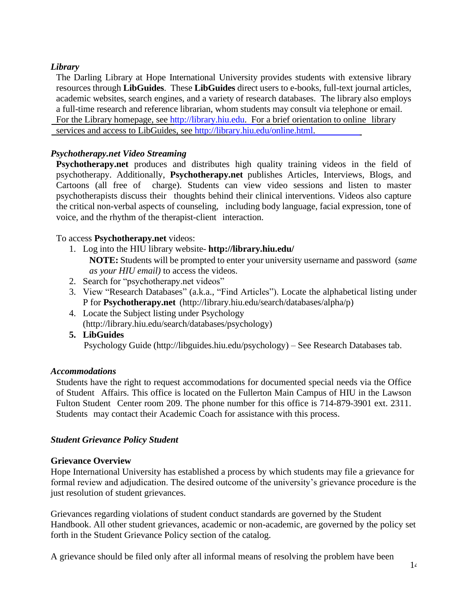## <span id="page-13-0"></span>*Library*

The Darling Library at Hope International University provides students with extensive library resources through **LibGuides**. These **LibGuides** direct users to e-books, full-text journal articles, academic websites, search engines, and a variety of research databases. The library also employs a full-time research and reference librarian, whom students may consult via telephone or email. For the Library homepage, see [http://library.hiu.edu.](http://library.hiu.edu/) For a brief orientation to online library services and access to LibGuides, see [http://library.hiu.edu/online.html.](http://library.hiu.edu/online.html)

## <span id="page-13-1"></span>*Psychotherapy.net Video Streaming*

**Psychotherapy.net** produces and distributes high quality [training](http://www.psychotherapy.net/videos) videos in the field of psychotherapy. Additionally, **Psychotherapy.net** publishes [Articles,](http://www.psychotherapy.net/articles-and-interviews) [Interviews,](http://www.psychotherapy.net/articles-and-interviews) [Blogs,](http://www.psychotherapy.net/blog) and [Cartoons](http://www.psychotherapy.net/humor) (all free of charge). Students can view video sessions and listen to master psychotherapists discuss their thoughts behind their clinical interventions. Videos also capture the critical non-verbal aspects of counseling, including body language, facial expression, tone of voice, and the rhythm of the therapist-client interaction.

## To access **Psychotherapy.net** videos:

- 1. Log into the HIU library website- **http:/[/library.](http://library.hiu.edu/)hiu.edu/ NOTE:** Students will be prompted to enter your university username and password (*same as your HIU email)* to access the videos.
- 2. Search for "psychotherapy.net videos"
- 3. View "Research Databases" (a.k.a., "Find Articles"). Locate the alphabetical listing under P for **Psychotherapy.net** [\(http://library.hiu.edu/search/databases/alpha/p\)](http://library.hiu.edu/search/databases/alpha/p))
- 4. Locate the Subject listing under Psychology [\(http://library.hiu.edu/search/databases/psychology\)](http://library.hiu.edu/search/databases/psychology))
- **5. LibGuides**

Psychology Guide [\(http://libguides.hiu.edu/psychology\)](http://libguides.hiu.edu/psychology)) – See Research Databases tab.

## <span id="page-13-2"></span>*Accommodations*

Students have the right to request accommodations for documented special needs via the Office of Student Affairs. This office is located on the Fullerton Main Campus of HIU in the Lawson Fulton Student Center room 209. The phone number for this office is 714-879-3901 ext. 2311. Students may contact their Academic Coach for assistance with this process.

## <span id="page-13-3"></span>*Student Grievance Policy Student*

## <span id="page-13-4"></span>**Grievance Overview**

Hope International University has established a process by which students may file a grievance for formal review and adjudication. The desired outcome of the university's grievance procedure is the just resolution of student grievances.

Grievances regarding violations of student conduct standards are governed by the Student Handbook. All other student grievances, academic or non-academic, are governed by the policy set forth in the Student Grievance Policy section of the catalog.

A grievance should be filed only after all informal means of resolving the problem have been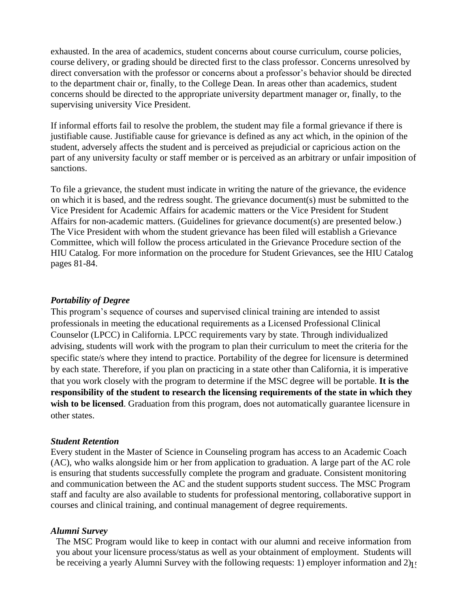exhausted. In the area of academics, student concerns about course curriculum, course policies, course delivery, or grading should be directed first to the class professor. Concerns unresolved by direct conversation with the professor or concerns about a professor's behavior should be directed to the department chair or, finally, to the College Dean. In areas other than academics, student concerns should be directed to the appropriate university department manager or, finally, to the supervising university Vice President.

If informal efforts fail to resolve the problem, the student may file a formal grievance if there is justifiable cause. Justifiable cause for grievance is defined as any act which, in the opinion of the student, adversely affects the student and is perceived as prejudicial or capricious action on the part of any university faculty or staff member or is perceived as an arbitrary or unfair imposition of sanctions.

To file a grievance, the student must indicate in writing the nature of the grievance, the evidence on which it is based, and the redress sought. The grievance document(s) must be submitted to the Vice President for Academic Affairs for academic matters or the Vice President for Student Affairs for non-academic matters. (Guidelines for grievance document(s) are presented below.) The Vice President with whom the student grievance has been filed will establish a Grievance Committee, which will follow the process articulated in the Grievance Procedure section of the HIU Catalog. For more information on the procedure for Student Grievances, see the HIU Catalog pages 81-84.

#### <span id="page-14-0"></span>*Portability of Degree*

This program's sequence of courses and supervised clinical training are intended to assist professionals in meeting the educational requirements as a Licensed Professional Clinical Counselor (LPCC) in California. LPCC requirements vary by state. Through individualized advising, students will work with the program to plan their curriculum to meet the criteria for the specific state/s where they intend to practice. Portability of the degree for licensure is determined by each state. Therefore, if you plan on practicing in a state other than California, it is imperative that you work closely with the program to determine if the MSC degree will be portable. **It is the responsibility of the student to research the licensing requirements of the state in which they**  wish to be licensed. Graduation from this program, does not automatically guarantee licensure in other states.

#### <span id="page-14-1"></span>*Student Retention*

Every student in the Master of Science in Counseling program has access to an Academic Coach (AC), who walks alongside him or her from application to graduation. A large part of the AC role is ensuring that students successfully complete the program and graduate. Consistent monitoring and communication between the AC and the student supports student success. The MSC Program staff and faculty are also available to students for professional mentoring, collaborative support in courses and clinical training, and continual management of degree requirements.

#### <span id="page-14-2"></span>*Alumni Survey*

be receiving a yearly Alumni Survey with the following requests: 1) employer information and 2)<sub>1</sub>. The MSC Program would like to keep in contact with our alumni and receive information from you about your licensure process/status as well as your obtainment of employment. Students will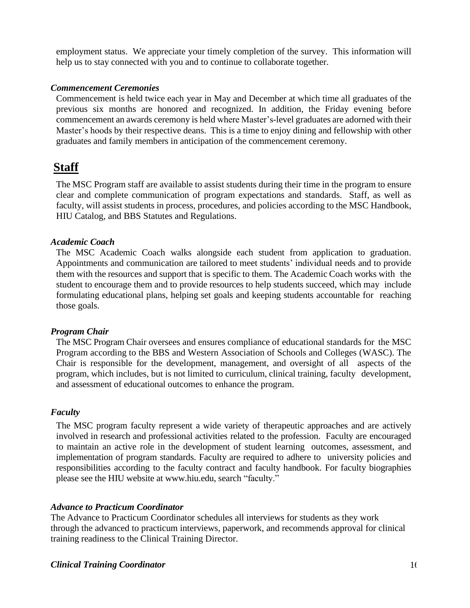employment status. We appreciate your timely completion of the survey. This information will help us to stay connected with you and to continue to collaborate together.

#### <span id="page-15-0"></span>*Commencement Ceremonies*

Commencement is held twice each year in May and December at which time all graduates of the previous six months are honored and recognized. In addition, the Friday evening before commencement an awards ceremony is held where Master's-level graduates are adorned with their Master's hoods by their respective deans. This is a time to enjoy dining and fellowship with other graduates and family members in anticipation of the commencement ceremony.

## <span id="page-15-1"></span>**Staff**

The MSC Program staff are available to assist students during their time in the program to ensure clear and complete communication of program expectations and standards. Staff, as well as faculty, will assist students in process, procedures, and policies according to the MSC Handbook, HIU Catalog, and BBS Statutes and Regulations.

#### <span id="page-15-2"></span>*Academic Coach*

The MSC Academic Coach walks alongside each student from application to graduation. Appointments and communication are tailored to meet students' individual needs and to provide them with the resources and support that is specific to them. The Academic Coach works with the student to encourage them and to provide resources to help students succeed, which may include formulating educational plans, helping set goals and keeping students accountable for reaching those goals.

#### <span id="page-15-3"></span>*Program Chair*

The MSC Program Chair oversees and ensures compliance of educational standards for the MSC Program according to the BBS and Western Association of Schools and Colleges (WASC). The Chair is responsible for the development, management, and oversight of all aspects of the program, which includes, but is not limited to curriculum, clinical training, faculty development, and assessment of educational outcomes to enhance the program.

#### <span id="page-15-4"></span>*Faculty*

The MSC program faculty represent a wide variety of therapeutic approaches and are actively involved in research and professional activities related to the profession. Faculty are encouraged to maintain an active role in the development of student learning outcomes, assessment, and implementation of program standards. Faculty are required to adhere to university policies and responsibilities according to the faculty contract and faculty handbook. For faculty biographies please see the HIU website at [www.hiu.edu,](http://www.hiu.edu/) search "faculty."

#### <span id="page-15-5"></span>*Advance to Practicum Coordinator*

<span id="page-15-6"></span>The Advance to Practicum Coordinator schedules all interviews for students as they work through the advanced to practicum interviews, paperwork, and recommends approval for clinical training readiness to the Clinical Training Director.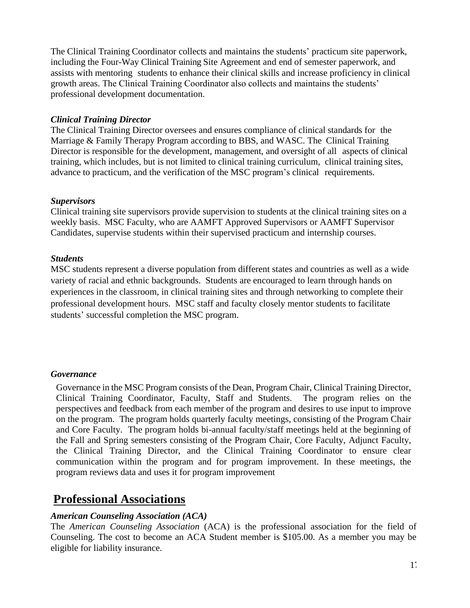The Clinical Training Coordinator collects and maintains the students' practicum site paperwork, including the Four-Way Clinical Training Site Agreement and end of semester paperwork, and assists with mentoring students to enhance their clinical skills and increase proficiency in clinical growth areas. The Clinical Training Coordinator also collects and maintains the students' professional development documentation.

### <span id="page-16-0"></span>*Clinical Training Director*

The Clinical Training Director oversees and ensures compliance of clinical standards for the Marriage & Family Therapy Program according to BBS, and WASC. The Clinical Training Director is responsible for the development, management, and oversight of all aspects of clinical training, which includes, but is not limited to clinical training curriculum, clinical training sites, advance to practicum, and the verification of the MSC program's clinical requirements.

### <span id="page-16-1"></span>*Supervisors*

Clinical training site supervisors provide supervision to students at the clinical training sites on a weekly basis. MSC Faculty, who are AAMFT Approved Supervisors or AAMFT Supervisor Candidates, supervise students within their supervised practicum and internship courses.

### <span id="page-16-2"></span>*Students*

MSC students represent a diverse population from different states and countries as well as a wide variety of racial and ethnic backgrounds. Students are encouraged to learn through hands on experiences in the classroom, in clinical training sites and through networking to complete their professional development hours. MSC staff and faculty closely mentor students to facilitate students' successful completion the MSC program.

#### <span id="page-16-3"></span>*Governance*

Governance in the MSC Program consists of the Dean, Program Chair, Clinical Training Director, Clinical Training Coordinator, Faculty, Staff and Students. The program relies on the perspectives and feedback from each member of the program and desires to use input to improve on the program. The program holds quarterly faculty meetings, consisting of the Program Chair and Core Faculty. The program holds bi-annual faculty/staff meetings held at the beginning of the Fall and Spring semesters consisting of the Program Chair, Core Faculty, Adjunct Faculty, the Clinical Training Director, and the Clinical Training Coordinator to ensure clear communication within the program and for program improvement. In these meetings, the program reviews data and uses it for program improvement

## <span id="page-16-4"></span>**Professional Associations**

## <span id="page-16-5"></span>*American Counseling Association (ACA)*

The *American Counseling Association* (ACA) is the professional association for the field of Counseling. The cost to become an ACA Student member is \$105.00. As a member you may be eligible for liability insurance.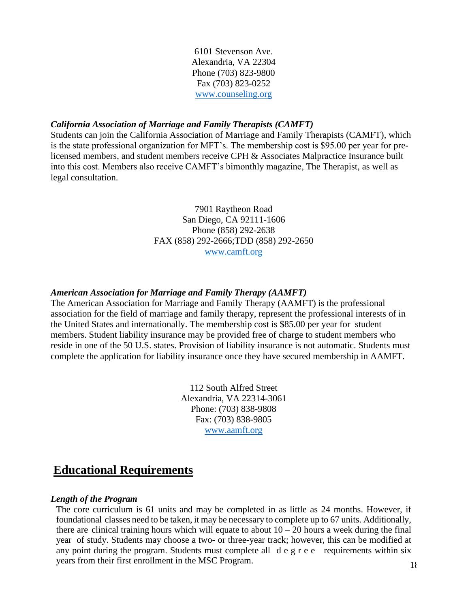6101 Stevenson Ave. Alexandria, VA 22304 Phone (703) 823-9800 Fax (703) 823-0252 [www.counseling.org](http://www.counseling.org/)

#### <span id="page-17-0"></span>*California Association of Marriage and Family Therapists (CAMFT)*

Students can join the California Association of Marriage and Family Therapists (CAMFT), which is the state professional organization for MFT's. The membership cost is \$95.00 per year for prelicensed members, and student members receive CPH & Associates Malpractice Insurance built into this cost. Members also receive CAMFT's bimonthly magazine, The Therapist, as well as legal consultation.

### 7901 Raytheon Road San Diego, CA 92111-1606 Phone (858) 292-2638 FAX (858) 292-2666;TDD (858) 292-2650 [www.camft.org](http://www.camft.org/)

#### <span id="page-17-1"></span>*American Association for Marriage and Family Therapy (AAMFT)*

The American Association for Marriage and Family Therapy (AAMFT) is the professional association for the field of marriage and family therapy, represent the professional interests of in the United States and internationally. The membership cost is \$85.00 per year for student members. Student liability insurance may be provided free of charge to student members who reside in one of the 50 U.S. states. Provision of liability insurance is not automatic. Students must complete the application for liability insurance once they have secured membership in AAMFT.

> 112 South Alfred Street Alexandria, VA 22314-3061 Phone: (703) 838-9808 Fax: (703) 838-9805 [www.aamft.org](http://www.aamft.org/)

## <span id="page-17-2"></span>**Educational Requirements**

#### <span id="page-17-3"></span>*Length of the Program*

The core curriculum is 61 units and may be completed in as little as 24 months. However, if foundational classes need to be taken, it may be necessary to complete up to 67 units. Additionally, there are clinical training hours which will equate to about  $10 - 20$  hours a week during the final year of study. Students may choose a two- or three-year track; however, this can be modified at any point during the program. Students must complete all d e g r e e requirements within six years from their first enrollment in the MSC Program.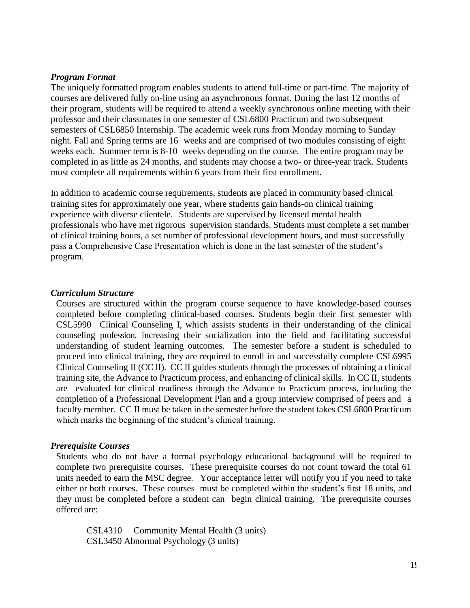#### <span id="page-18-0"></span>*Program Format*

The uniquely formatted program enables students to attend full-time or part-time. The majority of courses are delivered fully on-line using an asynchronous format. During the last 12 months of their program, students will be required to attend a weekly synchronous online meeting with their professor and their classmates in one semester of CSL6800 Practicum and two subsequent semesters of CSL6850 Internship. The academic week runs from Monday morning to Sunday night. Fall and Spring terms are 16 weeks and are comprised of two modules consisting of eight weeks each. Summer term is 8-10 weeks depending on the course. The entire program may be completed in as little as 24 months, and students may choose a two- or three-year track. Students must complete all requirements within 6 years from their first enrollment.

In addition to academic course requirements, students are placed in community based clinical training sites for approximately one year, where students gain hands-on clinical training experience with diverse clientele. Students are supervised by licensed mental health professionals who have met rigorous supervision standards. Students must complete a set number of clinical training hours, a set number of professional development hours, and must successfully pass a Comprehensive Case Presentation which is done in the last semester of the student's program.

#### <span id="page-18-1"></span>*Curriculum Structure*

Courses are structured within the program course sequence to have knowledge-based courses completed before completing clinical-based courses. Students begin their first semester with CSL5990 Clinical Counseling I, which assists students in their understanding of the clinical counseling profession, increasing their socialization into the field and facilitating successful understanding of student learning outcomes. The semester before a student is scheduled to proceed into clinical training, they are required to enroll in and successfully complete CSL6995 Clinical Counseling II (CC II). CC II guides students through the processes of obtaining a clinical training site, the Advance to Practicum process, and enhancing of clinical skills. In CC II, students are evaluated for clinical readiness through the Advance to Practicum process, including the completion of a Professional Development Plan and a group interview comprised of peers and a faculty member. CC II must be taken in the semester before the student takes CSL6800 Practicum which marks the beginning of the student's clinical training.

#### <span id="page-18-2"></span>*Prerequisite Courses*

Students who do not have a formal psychology educational background will be required to complete two prerequisite courses. These prerequisite courses do not count toward the total 61 units needed to earn the MSC degree. Your acceptance letter will notify you if you need to take either or both courses. These courses must be completed within the student's first 18 units, and they must be completed before a student can begin clinical training. The prerequisite courses offered are:

CSL4310 Community Mental Health (3 units) CSL3450 Abnormal Psychology (3 units)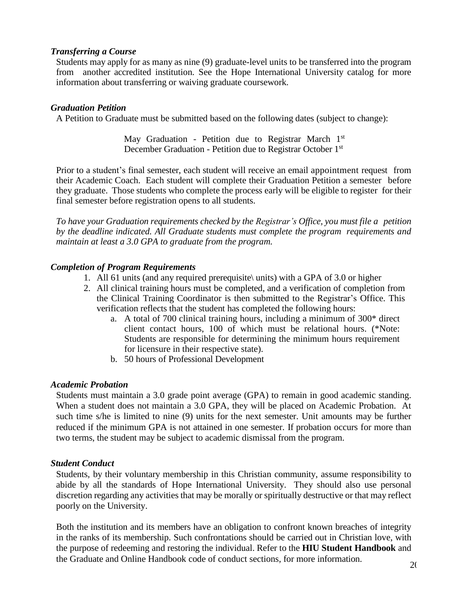#### <span id="page-19-0"></span>*Transferring a Course*

Students may apply for as many as nine (9) graduate-level units to be transferred into the program from another accredited institution. See the Hope International University catalog for more information about transferring or waiving graduate coursework.

#### <span id="page-19-1"></span>*Graduation Petition*

A Petition to Graduate must be submitted based on the following dates (subject to change):

May Graduation - Petition due to Registrar March 1st December Graduation - Petition due to Registrar October 1<sup>st</sup>

Prior to a student's final semester, each student will receive an email appointment request from their Academic Coach. Each student will complete their Graduation Petition a semester before they graduate. Those students who complete the process early will be eligible to register for their final semester before registration opens to all students.

*To have your Graduation requirements checked by the Registrar's Office, you must file a petition by the deadline indicated. All Graduate students must complete the program requirements and maintain at least a 3.0 GPA to graduate from the program.*

#### <span id="page-19-2"></span>*Completion of Program Requirements*

- 1. All 61 units (and any required prerequisite\ units) with a GPA of 3.0 or higher
- 2. All clinical training hours must be completed, and a verification of completion from the Clinical Training Coordinator is then submitted to the Registrar's Office. This verification reflects that the student has completed the following hours:
	- a. A total of 700 clinical training hours, including a minimum of 300\* direct client contact hours, 100 of which must be relational hours. (\*Note: Students are responsible for determining the minimum hours requirement for licensure in their respective state).
	- b. 50 hours of Professional Development

#### <span id="page-19-3"></span>*Academic Probation*

Students must maintain a 3.0 grade point average (GPA) to remain in good academic standing. When a student does not maintain a 3.0 GPA, they will be placed on Academic Probation. At such time s/he is limited to nine (9) units for the next semester. Unit amounts may be further reduced if the minimum GPA is not attained in one semester. If probation occurs for more than two terms, the student may be subject to academic dismissal from the program.

#### <span id="page-19-4"></span>*Student Conduct*

Students, by their voluntary membership in this Christian community, assume responsibility to abide by all the standards of Hope International University. They should also use personal discretion regarding any activities that may be morally or spiritually destructive or that may reflect poorly on the University.

Both the institution and its members have an obligation to confront known breaches of integrity in the ranks of its membership. Such confrontations should be carried out in Christian love, with the purpose of redeeming and restoring the individual. Refer to the **HIU [Student Handbook](http://www.hiu.edu/pdf/2014_Graduate_and_Online_handbook.pdf)** and the Graduate and Online Handbook code of conduct sections, for more information.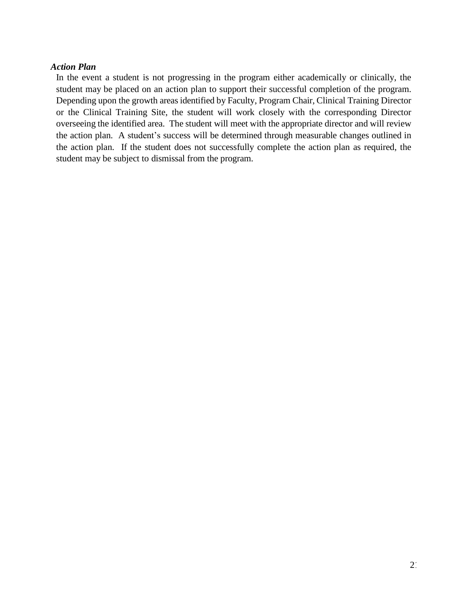#### <span id="page-20-0"></span>*Action Plan*

In the event a student is not progressing in the program either academically or clinically, the student may be placed on an action plan to support their successful completion of the program. Depending upon the growth areas identified by Faculty, Program Chair, Clinical Training Director or the Clinical Training Site, the student will work closely with the corresponding Director overseeing the identified area. The student will meet with the appropriate director and will review the action plan. A student's success will be determined through measurable changes outlined in the action plan. If the student does not successfully complete the action plan as required, the student may be subject to dismissal from the program.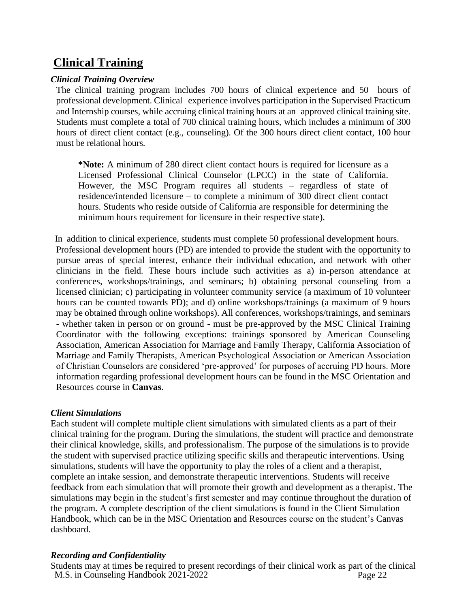# <span id="page-21-0"></span>**Clinical Training**

## <span id="page-21-1"></span>*Clinical Training Overview*

The clinical training program includes 700 hours of clinical experience and 50 hours of professional development. Clinical experience involves participation in the Supervised Practicum and Internship courses, while accruing clinical training hours at an approved clinical training site. Students must complete a total of 700 clinical training hours, which includes a minimum of 300 hours of direct client contact (e.g., counseling). Of the 300 hours direct client contact, 100 hour must be relational hours.

**\*Note:** A minimum of 280 direct client contact hours is required for licensure as a Licensed Professional Clinical Counselor (LPCC) in the state of California. However, the MSC Program requires all students – regardless of state of residence/intended licensure – to complete a minimum of 300 direct client contact hours. Students who reside outside of California are responsible for determining the minimum hours requirement for licensure in their respective state).

In addition to clinical experience, students must complete 50 professional development hours. Professional development hours (PD) are intended to provide the student with the opportunity to pursue areas of special interest, enhance their individual education, and network with other clinicians in the field. These hours include such activities as a) in-person attendance at conferences, workshops/trainings, and seminars; b) obtaining personal counseling from a licensed clinician; c) participating in volunteer community service (a maximum of 10 volunteer hours can be counted towards PD); and d) online workshops/trainings (a maximum of 9 hours may be obtained through online workshops). All conferences, workshops/trainings, and seminars - whether taken in person or on ground - must be pre-approved by the MSC Clinical Training Coordinator with the following exceptions: trainings sponsored by American Counseling Association, American Association for Marriage and Family Therapy, California Association of Marriage and Family Therapists, American Psychological Association or American Association of Christian Counselors are considered 'pre-approved' for purposes of accruing PD hours. More information regarding professional development hours can be found in the MSC Orientation and Resources course in **Canvas**.

## <span id="page-21-2"></span>*Client Simulations*

Each student will complete multiple client simulations with simulated clients as a part of their clinical training for the program. During the simulations, the student will practice and demonstrate their clinical knowledge, skills, and professionalism. The purpose of the simulations is to provide the student with supervised practice utilizing specific skills and therapeutic interventions. Using simulations, students will have the opportunity to play the roles of a client and a therapist, complete an intake session, and demonstrate therapeutic interventions. Students will receive feedback from each simulation that will promote their growth and development as a therapist. The simulations may begin in the student's first semester and may continue throughout the duration of the program. A complete description of the client simulations is found in the Client Simulation Handbook, which can be in the MSC Orientation and Resources course on the student's Canvas dashboard.

## <span id="page-21-3"></span>*Recording and Confidentiality*

M.S. in Counseling Handbook 2021-2022 Students may at times be required to present recordings of their clinical work as part of the clinical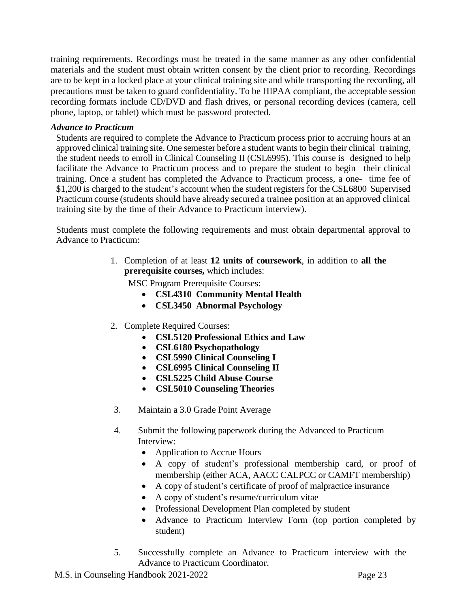training requirements. Recordings must be treated in the same manner as any other confidential materials and the student must obtain written consent by the client prior to recording. Recordings are to be kept in a locked place at your clinical training site and while transporting the recording, all precautions must be taken to guard confidentiality. To be HIPAA compliant, the acceptable session recording formats include CD/DVD and flash drives, or personal recording devices (camera, cell phone, laptop, or tablet) which must be password protected.

### <span id="page-22-0"></span>*Advance to Practicum*

Students are required to complete the Advance to Practicum process prior to accruing hours at an approved clinical training site. One semester before a student wants to begin their clinical training, the student needs to enroll in Clinical Counseling II (CSL6995). This course is designed to help facilitate the Advance to Practicum process and to prepare the student to begin their clinical training. Once a student has completed the Advance to Practicum process, a one- time fee of \$1,200 is charged to the student's account when the student registers for the CSL6800 Supervised Practicum course (students should have already secured a trainee position at an approved clinical training site by the time of their Advance to Practicum interview).

Students must complete the following requirements and must obtain departmental approval to Advance to Practicum:

> 1. Completion of at least **12 units of coursework**, in addition to **all the prerequisite courses,** which includes:

MSC Program Prerequisite Courses:

- **CSL4310 Community Mental Health**
- **CSL3450 Abnormal Psychology**
- 2. Complete Required Courses:
	- **CSL5120 Professional Ethics and Law**
	- **CSL6180 Psychopathology**
	- **CSL5990 Clinical Counseling I**
	- **CSL6995 Clinical Counseling II**
	- **CSL5225 Child Abuse Course**
	- **CSL5010 Counseling Theories**
- 3. Maintain a 3.0 Grade Point Average
- 4. Submit the following paperwork during the Advanced to Practicum Interview:
	- Application to Accrue Hours
	- A copy of student's professional membership card, or proof of membership (either ACA, AACC CALPCC or CAMFT membership)
	- A copy of student's certificate of proof of malpractice insurance
	- A copy of student's resume/curriculum vitae
	- Professional Development Plan completed by student
	- Advance to Practicum Interview Form (top portion completed by student)
- 5. Successfully complete an Advance to Practicum interview with the Advance to Practicum Coordinator.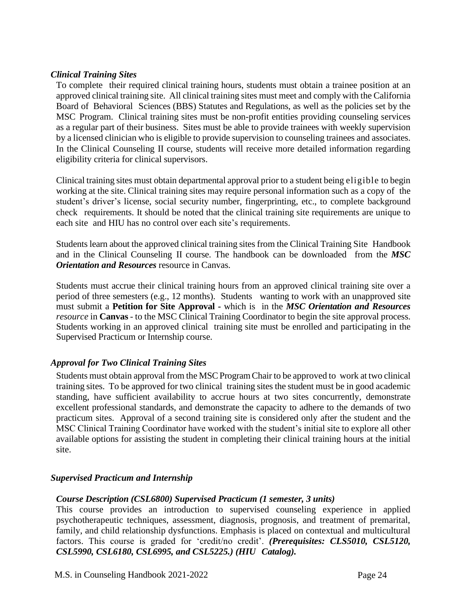### <span id="page-23-0"></span>*Clinical Training Sites*

To complete their required clinical training hours, students must obtain a trainee position at an approved clinical training site. All clinical training sites must meet and comply with the California Board of Behavioral Sciences (BBS) Statutes and Regulations, as well as the policies set by the MSC Program. Clinical training sites must be non-profit entities providing counseling services as a regular part of their business. Sites must be able to provide trainees with weekly supervision by a licensed clinician who is eligible to provide supervision to counseling trainees and associates. In the Clinical Counseling II course, students will receive more detailed information regarding eligibility criteria for clinical supervisors.

Clinical training sites must obtain departmental approval prior to a student being eligible to begin working at the site. Clinical training sites may require personal information such as a copy of the student's driver's license, social security number, fingerprinting, etc., to complete background check requirements. It should be noted that the clinical training site requirements are unique to each site and HIU has no control over each site's requirements.

Students learn about the approved clinical training sites from the Clinical Training Site Handbook and in the Clinical Counseling II course. The handbook can be downloaded from the *MSC Orientation and Resources* resource in Canvas.

Students must accrue their clinical training hours from an approved clinical training site over a period of three semesters (e.g., 12 months). Students wanting to work with an unapproved site must submit a **Petition for Site Approval -** which is in the *MSC Orientation and Resources resource* in **Canvas** - to the MSC Clinical Training Coordinator to begin the site approval process. Students working in an approved clinical training site must be enrolled and participating in the Supervised Practicum or Internship course.

## <span id="page-23-1"></span>*Approval for Two Clinical Training Sites*

Students must obtain approval from the MSC Program Chair to be approved to work at two clinical training sites. To be approved for two clinical training sites the student must be in good academic standing, have sufficient availability to accrue hours at two sites concurrently, demonstrate excellent professional standards, and demonstrate the capacity to adhere to the demands of two practicum sites. Approval of a second training site is considered only after the student and the MSC Clinical Training Coordinator have worked with the student's initial site to explore all other available options for assisting the student in completing their clinical training hours at the initial site.

#### <span id="page-23-2"></span>*Supervised Practicum and Internship*

#### *Course Description (CSL6800) Supervised Practicum (1 semester, 3 units)*

This course provides an introduction to supervised counseling experience in applied psychotherapeutic techniques, assessment, diagnosis, prognosis, and treatment of premarital, family, and child relationship dysfunctions. Emphasis is placed on contextual and multicultural factors. This course is graded for 'credit/no credit'. *(Prerequisites: CLS5010, CSL5120, CSL5990, CSL6180, CSL6995, and CSL5225.) (HIU Catalog).*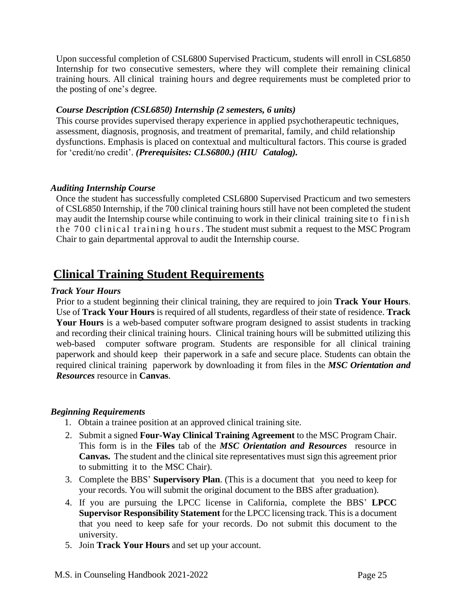Upon successful completion of CSL6800 Supervised Practicum, students will enroll in CSL6850 Internship for two consecutive semesters, where they will complete their remaining clinical training hours. All clinical training hours and degree requirements must be completed prior to the posting of one's degree.

### *Course Description (CSL6850) Internship (2 semesters, 6 units)*

This course provides supervised therapy experience in applied psychotherapeutic techniques, assessment, diagnosis, prognosis, and treatment of premarital, family, and child relationship dysfunctions. Emphasis is placed on contextual and multicultural factors. This course is graded for 'credit/no credit'. *(Prerequisites: CLS6800.) (HIU Catalog).*

### <span id="page-24-0"></span>*Auditing Internship Course*

Once the student has successfully completed CSL6800 Supervised Practicum and two semesters of CSL6850 Internship, if the 700 clinical training hours still have not been completed the student may audit the Internship course while continuing to work in their clinical training site to finish the 700 clinical training hours. The student must submit a request to the MSC Program Chair to gain departmental approval to audit the Internship course.

## <span id="page-24-1"></span>**Clinical Training Student Requirements**

#### <span id="page-24-2"></span>*Track Your Hours*

Prior to a student beginning their clinical training, they are required to join **Track Your [Hours](http://www.trackyourhours.com/)**. Use of **Track Your Hours** is required of all students, regardless of their state of residence. **Track Your Hours** is a web-based computer software program designed to assist students in tracking and recording their clinical training hours. Clinical training hours will be submitted utilizing this web-based computer software program. Students are responsible for all clinical training paperwork and should keep their paperwork in a safe and secure place. Students can obtain the required clinical training paperwork by downloading it from files in the *MSC Orientation and Resources* resource in **Canvas**.

#### <span id="page-24-3"></span>*Beginning Requirements*

- 1. Obtain a trainee position at an approved clinical training site.
- 2. Submit a signed **Four-Way Clinical Training Agreement** to the MSC Program Chair. This form is in the **Files** tab of the *MSC Orientation and Resources* resource in **Canvas.** The student and the clinical site representatives must sign this agreement prior to submitting it to the MSC Chair).
- 3. Complete the BBS' **[Supervisory Plan](http://www.bbs.ca.gov/pdf/forms/mft/mfrespon.pdf)**. (This is a document that you need to keep for your records. You will submit the original document to the BBS after graduation).
- 4. If you are pursuing the LPCC license in California, complete the BBS' **LPCC Supervisor Responsibility Statement** for the LPCC licensing track. This is a document that you need to keep safe for your records. Do not submit this document to the university.
- 5. Join **Track Your [Hours](http://www.trackyourhours.com/)** and set up your account.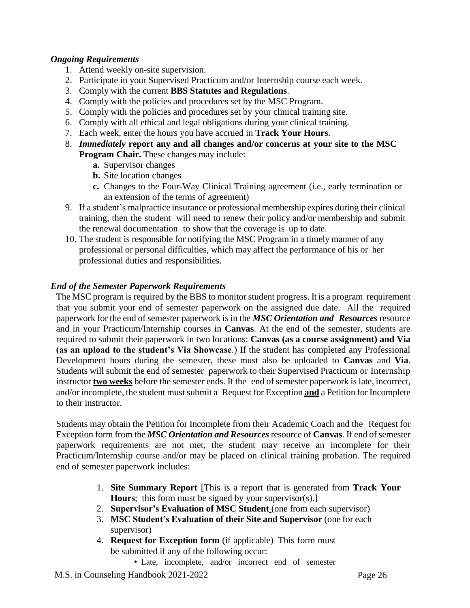## <span id="page-25-0"></span>*Ongoing Requirements*

- 1. Attend weekly on-site supervision.
- 2. Participate in your Supervised Practicum and/or Internship course each week.
- 3. Comply with the current **BBS Statutes and [Regulations](http://www.bbs.ca.gov/pdf/publications/lawsregs.pdf)**.
- 4. Comply with the policies and procedures set by the MSC Program.
- 5. Comply with the policies and procedures set by your clinical training site.
- 6. Comply with all ethical and legal obligations during your clinical training.
- 7. Each week, enter the hours you have accrued in **[Track](http://www.bbs.ca.gov/pdf/forms/mft/mfwkylog.pdf) Your Hours**.
- 8. *Immediately* **report any and all changes and/or concerns at your site to the MSC Program Chair.** These changes may include:
	- **a.** Supervisor changes
	- **b.** Site location changes
	- **c.** Changes to the Four-Way Clinical Training agreement (i.e., early termination or an extension of the terms of agreement)
- 9. If a student's malpractice insurance or professional membership expires during their clinical training, then the student will need to renew their policy and/or membership and submit the renewal documentation to show that the coverage is up to date.
- 10. The student is responsible for notifying the MSC Program in a timely manner of any professional or personal difficulties, which may affect the performance of his or her professional duties and responsibilities.

#### <span id="page-25-1"></span>*End of the Semester Paperwork Requirements*

The MSC program is required by the BBS to monitor student progress. It is a program requirement that you submit your end of semester paperwork on the assigned due date. All the required paperwork for the end of semester paperwork is in the *MSC Orientation and Resources* resource and in your Practicum/Internship courses in **Canvas**. At the end of the semester, students are required to submit their paperwork in two locations: **Canvas (as a course assignment) and Via (as an upload to the student's Via Showcase**.) If the student has completed any Professional Development hours during the semester, these must also be uploaded to **Canvas** and **Via**. Students will submit the end of semester paperwork to their Supervised Practicum or Internship instructor **two weeks** before the semester ends. If the end of semester paperwork is late, incorrect, and/or incomplete, the student must submit a Request for Exception **and** a Petition for Incomplete to their instructor.

Students may obtain the Petition for Incomplete from their Academic Coach and the Request for Exception form from the *MSC Orientation and Resources* resource of **Canvas**. If end of semester paperwork requirements are not met, the student may receive an incomplete for their Practicum/Internship course and/or may be placed on clinical training probation. The required end of semester paperwork includes:

- 1. **Site Summary Report** [This is a report that is generated from **[Track](http://www.trackyourhours.com/) Your [Hours](http://www.trackyourhours.com/)**; this form must be signed by your supervisor(s).]
- 2. **Supervisor's Evaluation of MSC Student** (one from each supervisor)
- 3. **MSC Student's Evaluation of their Site and Supervisor** (one for each supervisor)
- 4. **Request for Exception form** (if applicable) This form must be submitted if any of the following occur:
	- Late, incomplete, and/or incorrect end of semester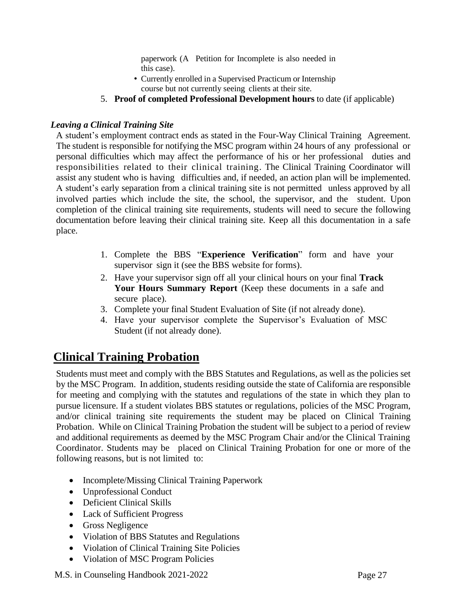paperwork (A Petition for Incomplete is also needed in this case).

- Currently enrolled in a Supervised Practicum or Internship course but not currently seeing clients at their site.
- 5. **Proof of completed Professional Development hours** to date (if applicable)

## <span id="page-26-0"></span>*Leaving a Clinical Training Site*

A student's employment contract ends as stated in the Four-Way Clinical Training Agreement. The student is responsible for notifying the MSC program within 24 hours of any professional or personal difficulties which may affect the performance of his or her professional duties and responsibilities related to their clinical training. The Clinical Training Coordinator will assist any student who is having difficulties and, if needed, an action plan will be implemented. A student's early separation from a clinical training site is not permitted unless approved by all involved parties which include the site, the school, the supervisor, and the student. Upon completion of the clinical training site requirements, students will need to secure the following documentation before leaving their clinical training site. Keep all this documentation in a safe place.

- 1. Complete the BBS "**Experience [Verification](http://www.bbs.ca.gov/forms.shtml#imf_lmft)**" form and have your supervisor sign it (see the BBS website for forms).
- 2. Have your supervisor sign off all your clinical hours on your final **Track Your Hours Summary Report** (Keep these documents in a safe and secure place).
- 3. Complete your final Student Evaluation of Site (if not already done).
- 4. Have your supervisor complete the Supervisor's Evaluation of MSC Student (if not already done).

# <span id="page-26-1"></span>**Clinical Training Probation**

Students must meet and comply with the BBS Statutes and Regulations, as well as the policies set by the MSC Program. In addition, students residing outside the state of California are responsible for meeting and complying with the statutes and regulations of the state in which they plan to pursue licensure. If a student violates BBS statutes or regulations, policies of the MSC Program, and/or clinical training site requirements the student may be placed on Clinical Training Probation. While on Clinical Training Probation the student will be subject to a period of review and additional requirements as deemed by the MSC Program Chair and/or the Clinical Training Coordinator. Students may be placed on Clinical Training Probation for one or more of the following reasons, but is not limited to:

- Incomplete/Missing Clinical Training Paperwork
- Unprofessional Conduct
- Deficient Clinical Skills
- Lack of Sufficient Progress
- Gross Negligence
- Violation of BBS Statutes and Regulations
- Violation of Clinical Training Site Policies
- Violation of MSC Program Policies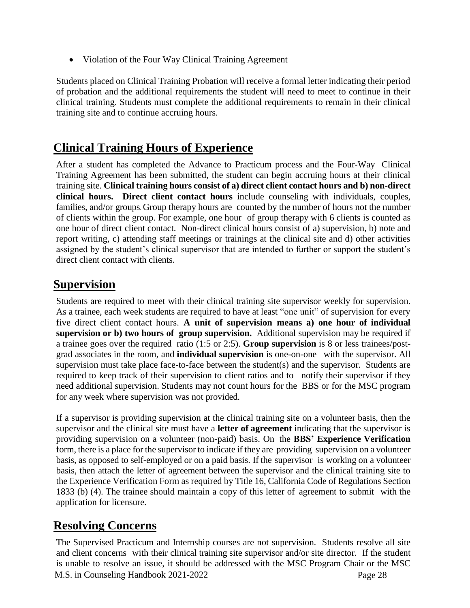• Violation of the Four Way Clinical Training Agreement

Students placed on Clinical Training Probation will receive a formal letter indicating their period of probation and the additional requirements the student will need to meet to continue in their clinical training. Students must complete the additional requirements to remain in their clinical training site and to continue accruing hours.

## <span id="page-27-0"></span>**Clinical Training Hours of Experience**

After a student has completed the Advance to Practicum process and the Four-Way Clinical Training Agreement has been submitted, the student can begin accruing hours at their clinical training site. **Clinical training hours consist of a) direct client contact hours and b) non-direct clinical hours. Direct client contact hours** include counseling with individuals, couples, families, and/or groups. Group therapy hours are counted by the number of hours not the number of clients within the group. For example, one hour of group therapy with 6 clients is counted as one hour of direct client contact. Non-direct clinical hours consist of a) supervision, b) note and report writing, c) attending staff meetings or trainings at the clinical site and d) other activities assigned by the student's clinical supervisor that are intended to further or support the student's direct client contact with clients.

## <span id="page-27-1"></span>**Supervision**

Students are required to meet with their clinical training site supervisor weekly for supervision. As a trainee, each week students are required to have at least "one unit" of supervision for every five direct client contact hours. **A unit of supervision means a) one hour of individual supervision or b) two hours of group supervision.** Additional supervision may be required if a trainee goes over the required ratio (1:5 or 2:5). **Group supervision** is 8 or less trainees/postgrad associates in the room, and **individual supervision** is one-on-one with the supervisor. All supervision must take place face-to-face between the student(s) and the supervisor. Students are required to keep track of their supervision to client ratios and to notify their supervisor if they need additional supervision. Students may not count hours for the BBS or for the MSC program for any week where supervision was not provided.

If a supervisor is providing supervision at the clinical training site on a volunteer basis, then the supervisor and the clinical site must have a **letter of [agreement](http://www.bbs.ca.gov/pdf/forms/mft/lmft_sample_letter_agreement.pdf)** indicating that the supervisor is providing supervision on a volunteer (non-paid) basis. On the **BBS' Experience [Verification](http://www.bbs.ca.gov/pdf/forms/mft/lmft_expver_37a-301_option1.pdf)** form, there is a place for the supervisor to indicate if they are providing supervision on a volunteer basis, as opposed to self-employed or on a paid basis. If the supervisor is working on a volunteer basis, then attach the letter of agreement between the supervisor and the clinical training site to the Experience Verification Form as required by Title 16, California Code of Regulations Section 1833 (b) (4). The trainee should maintain a copy of this letter of agreement to submit with the application for licensure.

## <span id="page-27-2"></span>**Resolving Concerns**

M.S. in Counseling Handbook 2021-2022 Page 28 The Supervised Practicum and Internship courses are not supervision. Students resolve all site and client concerns with their clinical training site supervisor and/or site director. If the student is unable to resolve an issue, it should be addressed with the MSC Program Chair or the MSC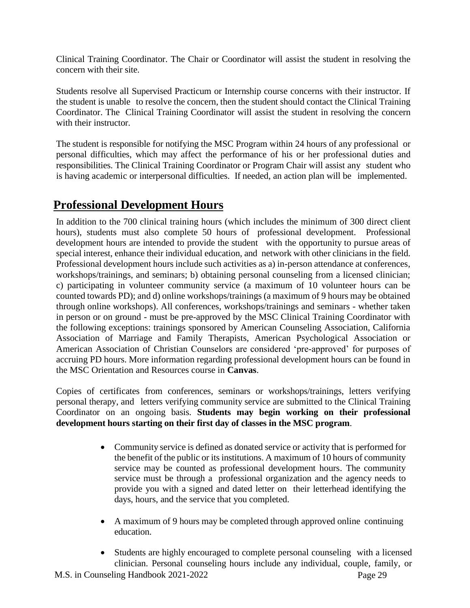Clinical Training Coordinator. The Chair or Coordinator will assist the student in resolving the concern with their site.

Students resolve all Supervised Practicum or Internship course concerns with their instructor. If the student is unable to resolve the concern, then the student should contact the Clinical Training Coordinator. The Clinical Training Coordinator will assist the student in resolving the concern with their instructor.

The student is responsible for notifying the MSC Program within 24 hours of any professional or personal difficulties, which may affect the performance of his or her professional duties and responsibilities. The Clinical Training Coordinator or Program Chair will assist any student who is having academic or interpersonal difficulties. If needed, an action plan will be implemented.

## <span id="page-28-0"></span>**Professional Development Hours**

In addition to the 700 clinical training hours (which includes the minimum of 300 direct client hours), students must also complete 50 hours of professional development. Professional development hours are intended to provide the student with the opportunity to pursue areas of special interest, enhance their individual education, and network with other clinicians in the field. Professional development hours include such activities as a) in-person attendance at conferences, workshops/trainings, and seminars; b) obtaining personal counseling from a licensed clinician; c) participating in volunteer community service (a maximum of 10 volunteer hours can be counted towards PD); and d) online workshops/trainings (a maximum of 9 hours may be obtained through online workshops). All conferences, workshops/trainings and seminars - whether taken in person or on ground - must be pre-approved by the MSC Clinical Training Coordinator with the following exceptions: trainings sponsored by American Counseling Association, California Association of Marriage and Family Therapists, American Psychological Association or American Association of Christian Counselors are considered 'pre-approved' for purposes of accruing PD hours. More information regarding professional development hours can be found in the MSC Orientation and Resources course in **Canvas**.

Copies of certificates from conferences, seminars or workshops/trainings, letters verifying personal therapy, and letters verifying community service are submitted to the Clinical Training Coordinator on an ongoing basis. **Students may begin working on their professional development hours starting on their first day of classes in the MSC program**.

- Community service is defined as donated service or activity that is performed for the benefit of the public or its institutions. A maximum of 10 hours of community service may be counted as professional development hours. The community service must be through a professional organization and the agency needs to provide you with a signed and dated letter on their letterhead identifying the days, hours, and the service that you completed.
- A maximum of 9 hours may be completed through approved online continuing education.
- Students are highly encouraged to complete personal counseling with a licensed clinician. Personal counseling hours include any individual, couple, family, or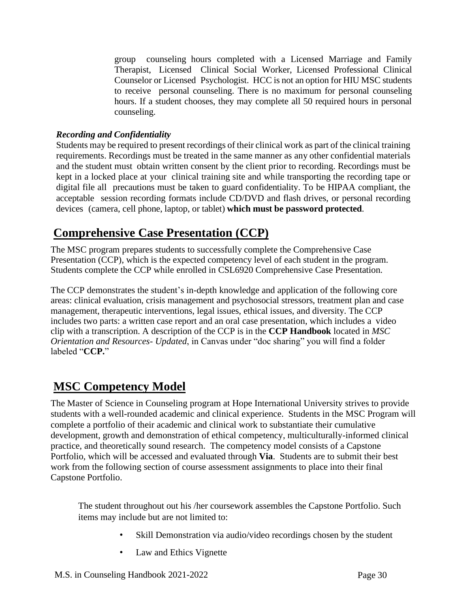group counseling hours completed with a Licensed Marriage and Family Therapist, Licensed Clinical Social Worker, Licensed Professional Clinical Counselor or Licensed Psychologist. HCC is not an option for HIU MSC students to receive personal counseling. There is no maximum for personal counseling hours. If a student chooses, they may complete all 50 required hours in personal counseling.

### *Recording and Confidentiality*

Students may be required to present recordings of their clinical work as part of the clinical training requirements. Recordings must be treated in the same manner as any other confidential materials and the student must obtain written consent by the client prior to recording. Recordings must be kept in a locked place at your clinical training site and while transporting the recording tape or digital file all precautions must be taken to guard confidentiality. To be HIPAA compliant, the acceptable session recording formats include CD/DVD and flash drives, or personal recording devices (camera, cell phone, laptop, or tablet) **which must be password protected**.

## <span id="page-29-0"></span>**Comprehensive Case Presentation (CCP)**

The MSC program prepares students to successfully complete the Comprehensive Case Presentation (CCP), which is the expected competency level of each student in the program. Students complete the CCP while enrolled in CSL6920 Comprehensive Case Presentation.

The CCP demonstrates the student's in-depth knowledge and application of the following core areas: clinical evaluation, crisis management and psychosocial stressors, treatment plan and case management, therapeutic interventions, legal issues, ethical issues, and diversity. The CCP includes two parts: a written case report and an oral case presentation, which includes a video clip with a transcription. A description of the CCP is in the **CCP Handbook** located in *MSC Orientation and Resources- Updated*, in Canvas under "doc sharing" you will find a folder labeled "**CCP.**"

## <span id="page-29-1"></span>**MSC Competency Model**

The Master of Science in Counseling program at Hope International University strives to provide students with a well-rounded academic and clinical experience. Students in the MSC Program will complete a portfolio of their academic and clinical work to substantiate their cumulative development, growth and demonstration of ethical competency, multiculturally-informed clinical practice, and theoretically sound research. The competency model consists of a Capstone Portfolio, which will be accessed and evaluated through **Via**. Students are to submit their best work from the following section of course assessment assignments to place into their final Capstone Portfolio.

The student throughout out his /her coursework assembles the Capstone Portfolio. Such items may include but are not limited to:

- Skill Demonstration via audio/video recordings chosen by the student
- Law and Ethics Vignette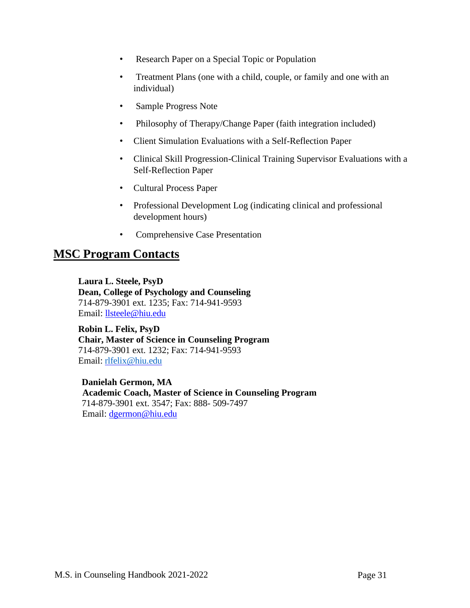- Research Paper on a Special Topic or Population
- Treatment Plans (one with a child, couple, or family and one with an individual)
- Sample Progress Note
- Philosophy of Therapy/Change Paper (faith integration included)
- Client Simulation Evaluations with a Self-Reflection Paper
- Clinical Skill Progression-Clinical Training Supervisor Evaluations with a Self-Reflection Paper
- Cultural Process Paper
- Professional Development Log (indicating clinical and professional development hours)
- Comprehensive Case Presentation

## <span id="page-30-0"></span>**MSC Program Contacts**

**Laura L. Steele, PsyD Dean, College of Psychology and Counseling** 714-879-3901 ext. 1235; Fax: 714-941-9593 Email: [llsteele@hiu.edu](mailto:llsteele@hiu.edu)

**Robin L. Felix, PsyD Chair, Master of Science in Counseling Program** 714-879-3901 ext. 1232; Fax: 714-941-9593 Email: [rlfelix@hiu.edu](mailto:rlfelix@hiu.edu)

**Danielah Germon, MA Academic Coach, Master of Science in Counseling Program** 714-879-3901 ext. 3547; Fax: 888- 509-7497 Email: [dgermon@hiu.edu](mailto:dgermon@hiu.edu)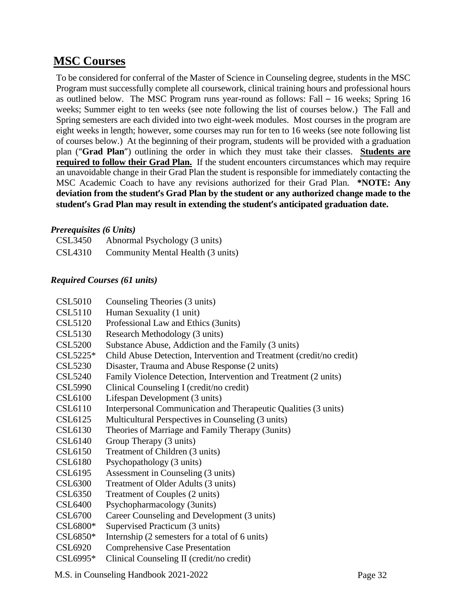## <span id="page-31-0"></span>**MSC Courses**

To be considered for conferral of the Master of Science in Counseling degree, students in the MSC Program must successfully complete all coursework, clinical training hours and professional hours as outlined below. The MSC Program runs year-round as follows: Fall – 16 weeks; Spring 16 weeks; Summer eight to ten weeks (see note following the list of courses below.) The Fall and Spring semesters are each divided into two eight-week modules. Most courses in the program are eight weeks in length; however, some courses may run for ten to 16 weeks (see note following list of courses below.) At the beginning of their program, students will be provided with a graduation plan ("**Grad Plan**") outlining the order in which they must take their classes. **Students are required to follow their Grad Plan.** If the student encounters circumstances which may require an unavoidable change in their Grad Plan the student is responsible for immediately contacting the MSC Academic Coach to have any revisions authorized for their Grad Plan. **\*NOTE: Any deviation from the student's Grad Plan by the student or any authorized change made to the student's Grad Plan may result in extending the student's anticipated graduation date.**

## <span id="page-31-1"></span>*Prerequisites (6 Units)*

| CSL3450 | Abnormal Psychology (3 units)     |
|---------|-----------------------------------|
| CSL4310 | Community Mental Health (3 units) |

## <span id="page-31-2"></span>*Required Courses (61 units)*

| <b>CSL5010</b> | Counseling Theories (3 units)                                        |
|----------------|----------------------------------------------------------------------|
| <b>CSL5110</b> | Human Sexuality (1 unit)                                             |
| <b>CSL5120</b> | Professional Law and Ethics (3units)                                 |
| <b>CSL5130</b> | Research Methodology (3 units)                                       |
| <b>CSL5200</b> | Substance Abuse, Addiction and the Family (3 units)                  |
| $CSL5225*$     | Child Abuse Detection, Intervention and Treatment (credit/no credit) |
| <b>CSL5230</b> | Disaster, Trauma and Abuse Response (2 units)                        |
| <b>CSL5240</b> | Family Violence Detection, Intervention and Treatment (2 units)      |
| <b>CSL5990</b> | Clinical Counseling I (credit/no credit)                             |
| <b>CSL6100</b> | Lifespan Development (3 units)                                       |
| CSL6110        | Interpersonal Communication and Therapeutic Qualities (3 units)      |
| <b>CSL6125</b> | Multicultural Perspectives in Counseling (3 units)                   |
| CSL6130        | Theories of Marriage and Family Therapy (3units)                     |
| CSL6140        | Group Therapy (3 units)                                              |
| <b>CSL6150</b> | Treatment of Children (3 units)                                      |
| <b>CSL6180</b> | Psychopathology (3 units)                                            |
| CSL6195        | Assessment in Counseling (3 units)                                   |
| <b>CSL6300</b> | Treatment of Older Adults (3 units)                                  |
| <b>CSL6350</b> | Treatment of Couples (2 units)                                       |
| <b>CSL6400</b> | Psychopharmacology (3units)                                          |
| <b>CSL6700</b> | Career Counseling and Development (3 units)                          |
| CSL6800*       | Supervised Practicum (3 units)                                       |
| $CSL6850*$     | Internship (2 semesters for a total of 6 units)                      |
| <b>CSL6920</b> | <b>Comprehensive Case Presentation</b>                               |
| CSL6995*       | Clinical Counseling II (credit/no credit)                            |

M.S. in Counseling Handbook 2021-2022 Page 32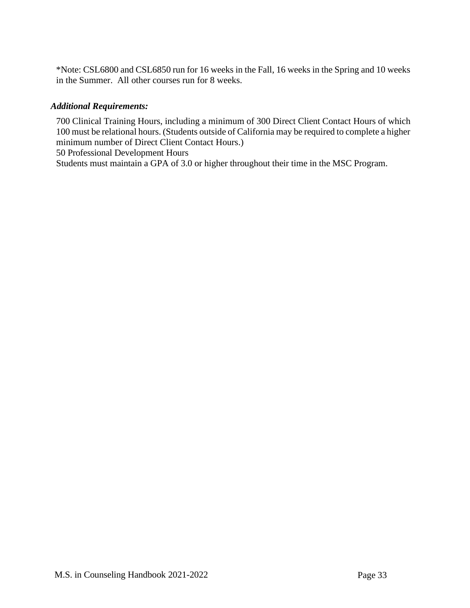\*Note: CSL6800 and CSL6850 run for 16 weeks in the Fall, 16 weeks in the Spring and 10 weeks in the Summer. All other courses run for 8 weeks.

### <span id="page-32-0"></span>*Additional Requirements:*

700 Clinical Training Hours, including a minimum of 300 Direct Client Contact Hours of which 100 must be relational hours. (Students outside of California may be required to complete a higher minimum number of Direct Client Contact Hours.)

50 Professional Development Hours

Students must maintain a GPA of 3.0 or higher throughout their time in the MSC Program.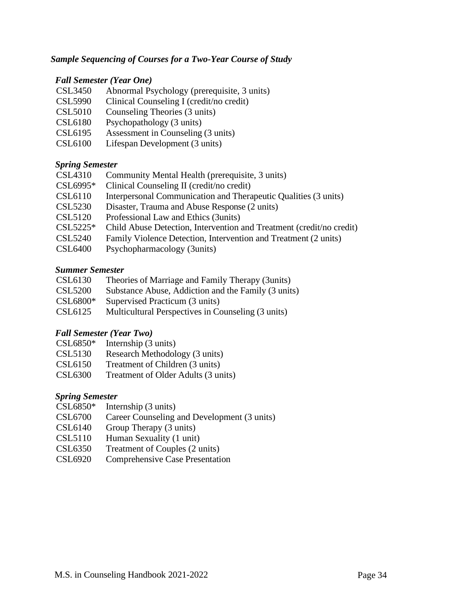### <span id="page-33-0"></span>*Sample Sequencing of Courses for a Two-Year Course of Study*

#### *Fall Semester (Year One)*

- CSL3450 Abnormal Psychology (prerequisite, 3 units)
- CSL5990 Clinical Counseling I (credit/no credit)
- CSL5010 Counseling Theories (3 units)
- CSL6180 Psychopathology (3 units)
- CSL6195 Assessment in Counseling (3 units)
- CSL6100 Lifespan Development (3 units)

#### *Spring Semester*

- CSL4310 Community Mental Health (prerequisite, 3 units)
- CSL6995\* Clinical Counseling II (credit/no credit)
- CSL6110 Interpersonal Communication and Therapeutic Qualities (3 units)
- CSL5230 Disaster, Trauma and Abuse Response (2 units)
- CSL5120 Professional Law and Ethics (3units)
- CSL5225\* Child Abuse Detection, Intervention and Treatment (credit/no credit)
- CSL5240 Family Violence Detection, Intervention and Treatment (2 units)
- CSL6400 Psychopharmacology (3units)

#### *Summer Semester*

- CSL5200 Substance Abuse, Addiction and the Family (3 units)
- CSL6800\* Supervised Practicum (3 units)
- CSL6125 Multicultural Perspectives in Counseling (3 units)

#### *Fall Semester (Year Two)*

- CSL6850\* Internship (3 units)
- CSL5130 Research Methodology (3 units)
- CSL6150 Treatment of Children (3 units)
- CSL6300 Treatment of Older Adults (3 units)

#### *Spring Semester*

- $CSL6850*$  Internship (3 units)
- CSL6700 Career Counseling and Development (3 units)
- CSL6140 Group Therapy (3 units)
- CSL5110 Human Sexuality (1 unit)
- CSL6350 Treatment of Couples (2 units)
- CSL6920 Comprehensive Case Presentation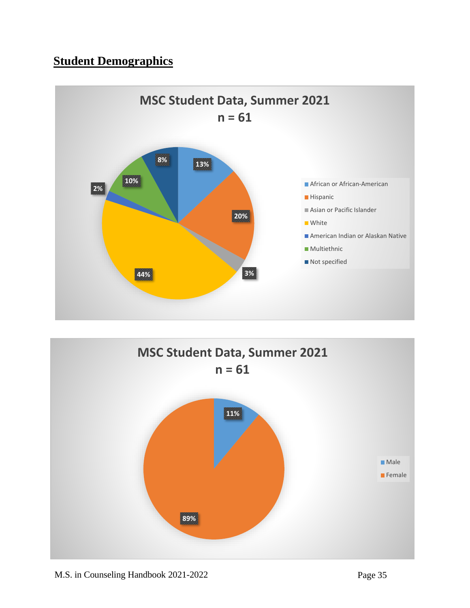# <span id="page-34-0"></span>**Student Demographics**



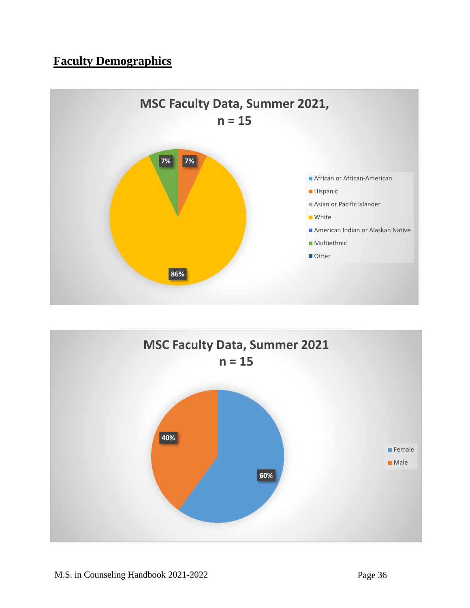# <span id="page-35-0"></span>**Faculty Demographics**



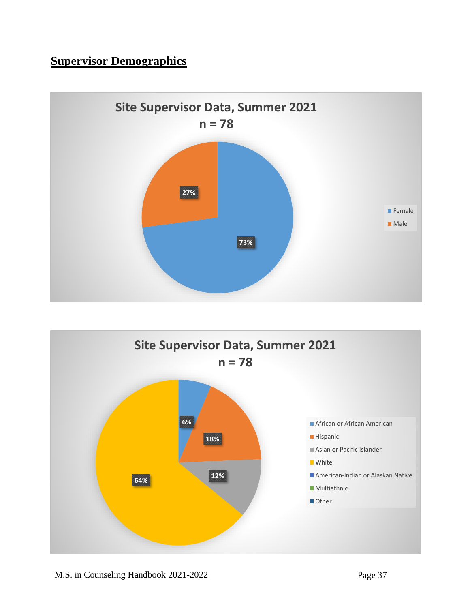# **Supervisor Demographics**